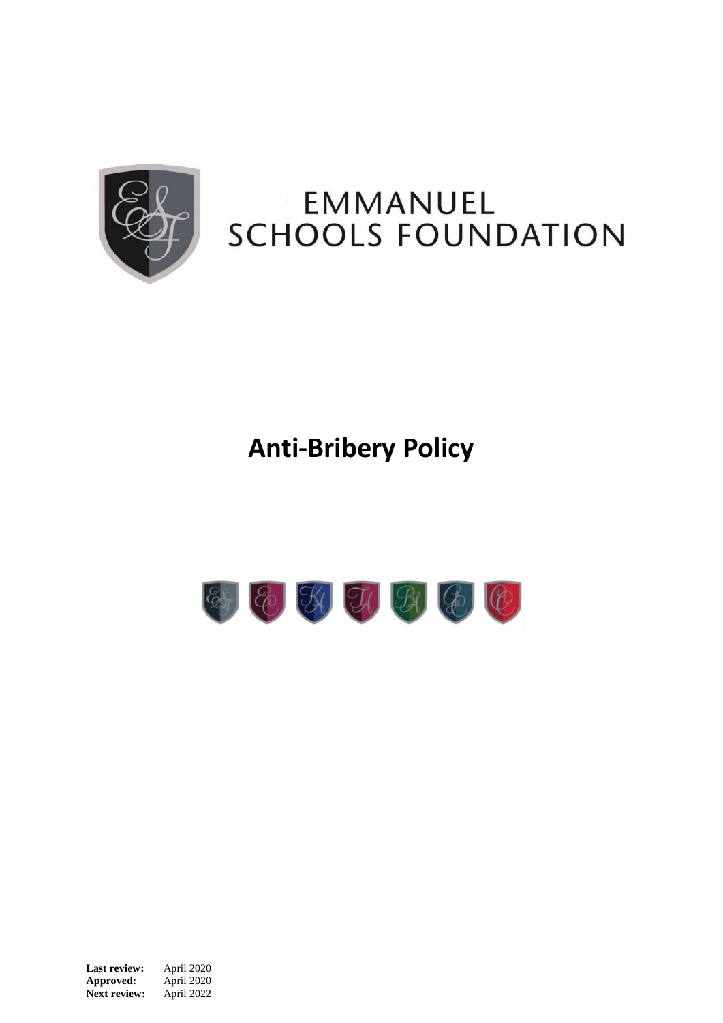

# **EMMANUEL SCHOOLS FOUNDATION**

## **Anti-Bribery Policy**



**Last review:** April 2020<br>**Approved:** April 2020 Approved: **Next review:** April 2022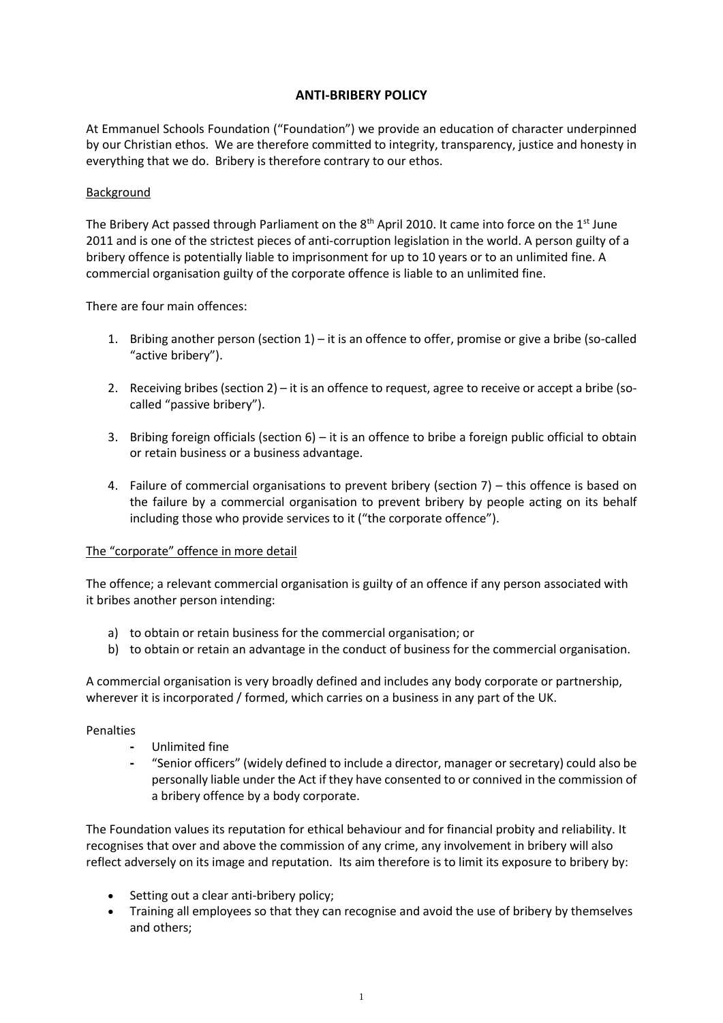### **ANTI-BRIBERY POLICY**

At Emmanuel Schools Foundation ("Foundation") we provide an education of character underpinned by our Christian ethos. We are therefore committed to integrity, transparency, justice and honesty in everything that we do. Bribery is therefore contrary to our ethos.

#### **Background**

The Bribery Act passed through Parliament on the  $8<sup>th</sup>$  April 2010. It came into force on the 1st June 2011 and is one of the strictest pieces of anti-corruption legislation in the world. A person guilty of a bribery offence is potentially liable to imprisonment for up to 10 years or to an unlimited fine. A commercial organisation guilty of the corporate offence is liable to an unlimited fine.

There are four main offences:

- 1. Bribing another person (section 1) it is an offence to offer, promise or give a bribe (so-called "active bribery").
- 2. Receiving bribes (section 2) it is an offence to request, agree to receive or accept a bribe (socalled "passive bribery").
- 3. Bribing foreign officials (section 6) it is an offence to bribe a foreign public official to obtain or retain business or a business advantage.
- 4. Failure of commercial organisations to prevent bribery (section 7) this offence is based on the failure by a commercial organisation to prevent bribery by people acting on its behalf including those who provide services to it ("the corporate offence").

#### The "corporate" offence in more detail

The offence; a relevant commercial organisation is guilty of an offence if any person associated with it bribes another person intending:

- a) to obtain or retain business for the commercial organisation; or
- b) to obtain or retain an advantage in the conduct of business for the commercial organisation.

A commercial organisation is very broadly defined and includes any body corporate or partnership, wherever it is incorporated / formed, which carries on a business in any part of the UK.

#### Penalties

- **-** Unlimited fine
- **-** "Senior officers" (widely defined to include a director, manager or secretary) could also be personally liable under the Act if they have consented to or connived in the commission of a bribery offence by a body corporate.

The Foundation values its reputation for ethical behaviour and for financial probity and reliability. It recognises that over and above the commission of any crime, any involvement in bribery will also reflect adversely on its image and reputation. Its aim therefore is to limit its exposure to bribery by:

- Setting out a clear anti-bribery policy;
- Training all employees so that they can recognise and avoid the use of bribery by themselves and others;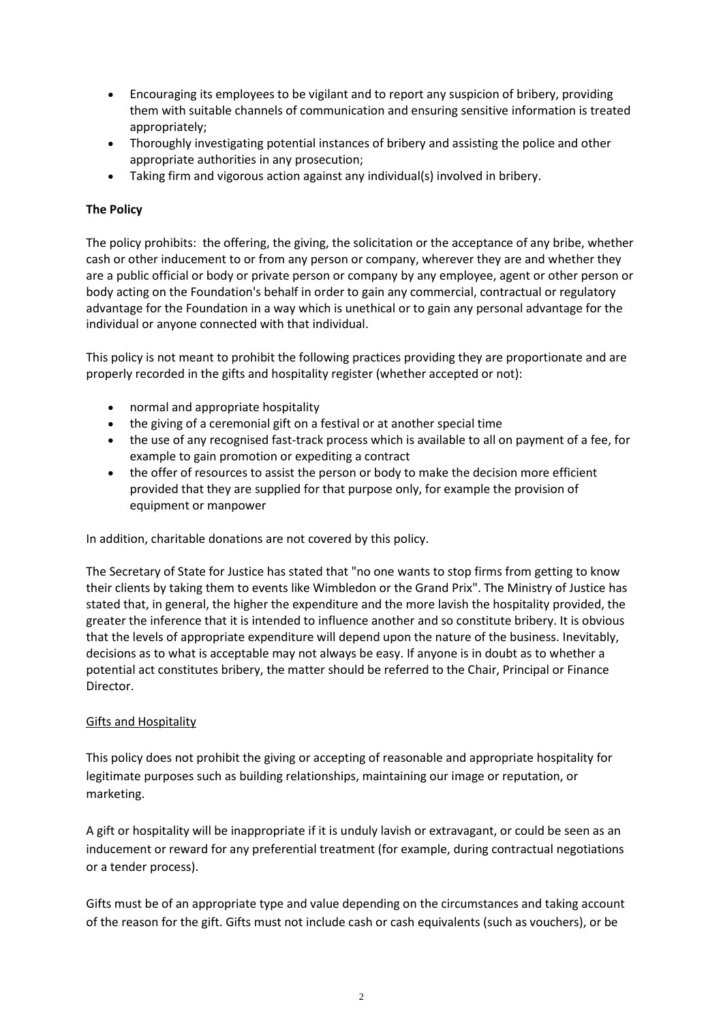- Encouraging its employees to be vigilant and to report any suspicion of bribery, providing them with suitable channels of communication and ensuring sensitive information is treated appropriately;
- Thoroughly investigating potential instances of bribery and assisting the police and other appropriate authorities in any prosecution;
- Taking firm and vigorous action against any individual(s) involved in bribery.

## **The Policy**

The policy prohibits: the offering, the giving, the solicitation or the acceptance of any bribe, whether cash or other inducement to or from any person or company, wherever they are and whether they are a public official or body or private person or company by any employee, agent or other person or body acting on the Foundation's behalf in order to gain any commercial, contractual or regulatory advantage for the Foundation in a way which is unethical or to gain any personal advantage for the individual or anyone connected with that individual.

This policy is not meant to prohibit the following practices providing they are proportionate and are properly recorded in the gifts and hospitality register (whether accepted or not):

- normal and appropriate hospitality
- the giving of a ceremonial gift on a festival or at another special time
- the use of any recognised fast-track process which is available to all on payment of a fee, for example to gain promotion or expediting a contract
- the offer of resources to assist the person or body to make the decision more efficient provided that they are supplied for that purpose only, for example the provision of equipment or manpower

In addition, charitable donations are not covered by this policy.

The Secretary of State for Justice has stated that "no one wants to stop firms from getting to know their clients by taking them to events like Wimbledon or the Grand Prix". The Ministry of Justice has stated that, in general, the higher the expenditure and the more lavish the hospitality provided, the greater the inference that it is intended to influence another and so constitute bribery. It is obvious that the levels of appropriate expenditure will depend upon the nature of the business. Inevitably, decisions as to what is acceptable may not always be easy. If anyone is in doubt as to whether a potential act constitutes bribery, the matter should be referred to the Chair, Principal or Finance Director.

## Gifts and Hospitality

This policy does not prohibit the giving or accepting of reasonable and appropriate hospitality for legitimate purposes such as building relationships, maintaining our image or reputation, or marketing.

A gift or hospitality will be inappropriate if it is unduly lavish or extravagant, or could be seen as an inducement or reward for any preferential treatment (for example, during contractual negotiations or a tender process).

Gifts must be of an appropriate type and value depending on the circumstances and taking account of the reason for the gift. Gifts must not include cash or cash equivalents (such as vouchers), or be